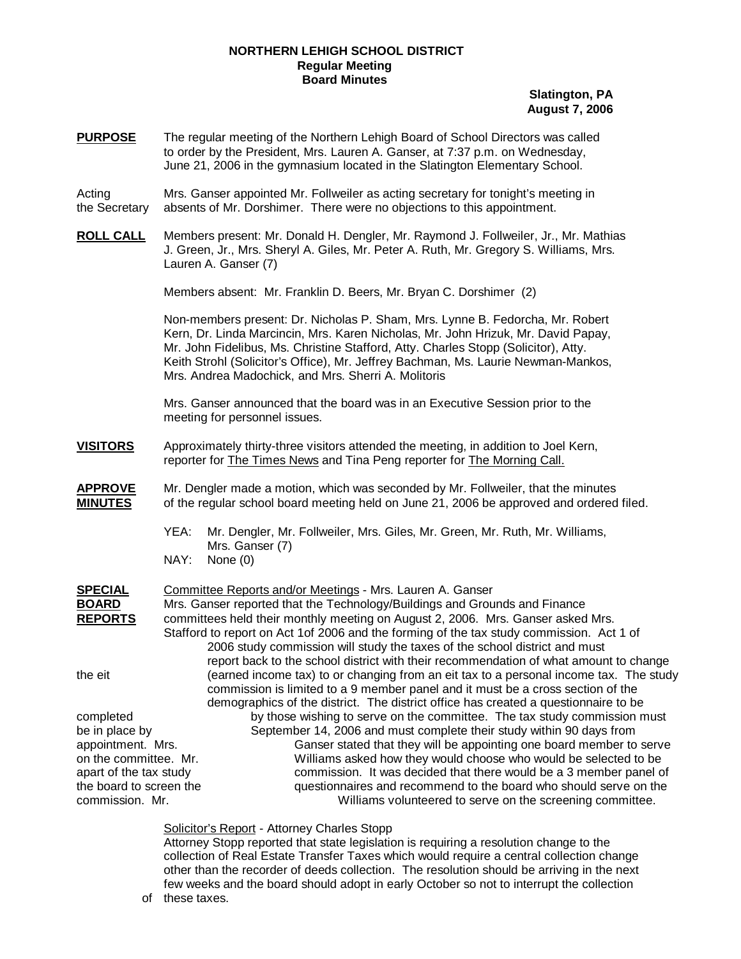## **NORTHERN LEHIGH SCHOOL DISTRICT Regular Meeting Board Minutes**

**Slatington, PA August 7, 2006**

**PURPOSE** The regular meeting of the Northern Lehigh Board of School Directors was called to order by the President, Mrs. Lauren A. Ganser, at 7:37 p.m. on Wednesday, June 21, 2006 in the gymnasium located in the Slatington Elementary School.

Acting Mrs. Ganser appointed Mr. Follweiler as acting secretary for tonight's meeting in the Secretary absents of Mr. Dorshimer. There were no objections to this appointment.

**ROLL CALL** Members present: Mr. Donald H. Dengler, Mr. Raymond J. Follweiler, Jr., Mr. Mathias J. Green, Jr., Mrs. Sheryl A. Giles, Mr. Peter A. Ruth, Mr. Gregory S. Williams, Mrs. Lauren A. Ganser (7)

Members absent: Mr. Franklin D. Beers, Mr. Bryan C. Dorshimer (2)

Non-members present: Dr. Nicholas P. Sham, Mrs. Lynne B. Fedorcha, Mr. Robert Kern, Dr. Linda Marcincin, Mrs. Karen Nicholas, Mr. John Hrizuk, Mr. David Papay, Mr. John Fidelibus, Ms. Christine Stafford, Atty. Charles Stopp (Solicitor), Atty. Keith Strohl (Solicitor's Office), Mr. Jeffrey Bachman, Ms. Laurie Newman-Mankos, Mrs. Andrea Madochick, and Mrs. Sherri A. Molitoris

Mrs. Ganser announced that the board was in an Executive Session prior to the meeting for personnel issues.

- **VISITORS** Approximately thirty-three visitors attended the meeting, in addition to Joel Kern, reporter for The Times News and Tina Peng reporter for The Morning Call.
- **APPROVE** Mr. Dengler made a motion, which was seconded by Mr. Follweiler, that the minutes **MINUTES** of the regular school board meeting held on June 21, 2006 be approved and ordered filed.
	- YEA: Mr. Dengler, Mr. Follweiler, Mrs. Giles, Mr. Green, Mr. Ruth, Mr. Williams, Mrs. Ganser (7)
	- NAY: None (0)

| <b>SPECIAL</b>          | Committee Reports and/or Meetings - Mrs. Lauren A. Ganser                                 |
|-------------------------|-------------------------------------------------------------------------------------------|
| <b>BOARD</b>            | Mrs. Ganser reported that the Technology/Buildings and Grounds and Finance                |
| <b>REPORTS</b>          | committees held their monthly meeting on August 2, 2006. Mrs. Ganser asked Mrs.           |
|                         | Stafford to report on Act 1 of 2006 and the forming of the tax study commission. Act 1 of |
|                         | 2006 study commission will study the taxes of the school district and must                |
|                         | report back to the school district with their recommendation of what amount to change     |
| the eit                 | (earned income tax) to or changing from an eit tax to a personal income tax. The study    |
|                         | commission is limited to a 9 member panel and it must be a cross section of the           |
|                         | demographics of the district. The district office has created a questionnaire to be       |
| completed               | by those wishing to serve on the committee. The tax study commission must                 |
| be in place by          | September 14, 2006 and must complete their study within 90 days from                      |
| appointment. Mrs.       | Ganser stated that they will be appointing one board member to serve                      |
| on the committee. Mr.   | Williams asked how they would choose who would be selected to be                          |
| apart of the tax study  | commission. It was decided that there would be a 3 member panel of                        |
| the board to screen the | questionnaires and recommend to the board who should serve on the                         |
| commission. Mr.         | Williams volunteered to serve on the screening committee.                                 |

Solicitor's Report - Attorney Charles Stopp

 Attorney Stopp reported that state legislation is requiring a resolution change to the collection of Real Estate Transfer Taxes which would require a central collection change other than the recorder of deeds collection. The resolution should be arriving in the next few weeks and the board should adopt in early October so not to interrupt the collection

of these taxes.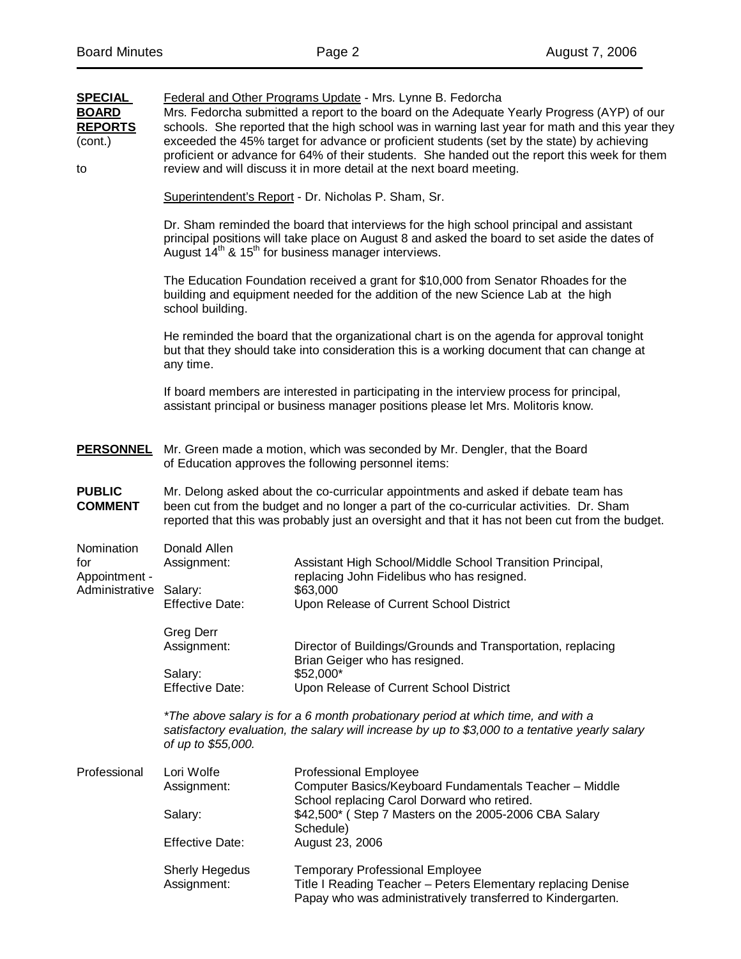| <b>SPECIAL</b><br><b>BOARD</b><br><b>REPORTS</b><br>(cont.)<br>to | Federal and Other Programs Update - Mrs. Lynne B. Fedorcha<br>Mrs. Fedorcha submitted a report to the board on the Adequate Yearly Progress (AYP) of our<br>schools. She reported that the high school was in warning last year for math and this year they<br>exceeded the 45% target for advance or proficient students (set by the state) by achieving<br>proficient or advance for 64% of their students. She handed out the report this week for them<br>review and will discuss it in more detail at the next board meeting. |                                                                                                                                                                                                                                                                         |  |  |  |  |
|-------------------------------------------------------------------|------------------------------------------------------------------------------------------------------------------------------------------------------------------------------------------------------------------------------------------------------------------------------------------------------------------------------------------------------------------------------------------------------------------------------------------------------------------------------------------------------------------------------------|-------------------------------------------------------------------------------------------------------------------------------------------------------------------------------------------------------------------------------------------------------------------------|--|--|--|--|
|                                                                   |                                                                                                                                                                                                                                                                                                                                                                                                                                                                                                                                    | Superintendent's Report - Dr. Nicholas P. Sham, Sr.                                                                                                                                                                                                                     |  |  |  |  |
|                                                                   |                                                                                                                                                                                                                                                                                                                                                                                                                                                                                                                                    | Dr. Sham reminded the board that interviews for the high school principal and assistant<br>principal positions will take place on August 8 and asked the board to set aside the dates of<br>August 14 <sup>th</sup> & 15 <sup>th</sup> for business manager interviews. |  |  |  |  |
|                                                                   | school building.                                                                                                                                                                                                                                                                                                                                                                                                                                                                                                                   | The Education Foundation received a grant for \$10,000 from Senator Rhoades for the<br>building and equipment needed for the addition of the new Science Lab at the high                                                                                                |  |  |  |  |
|                                                                   | any time.                                                                                                                                                                                                                                                                                                                                                                                                                                                                                                                          | He reminded the board that the organizational chart is on the agenda for approval tonight<br>but that they should take into consideration this is a working document that can change at                                                                                 |  |  |  |  |
|                                                                   | If board members are interested in participating in the interview process for principal,<br>assistant principal or business manager positions please let Mrs. Molitoris know.                                                                                                                                                                                                                                                                                                                                                      |                                                                                                                                                                                                                                                                         |  |  |  |  |
| <u>PERSONNEL</u>                                                  |                                                                                                                                                                                                                                                                                                                                                                                                                                                                                                                                    | Mr. Green made a motion, which was seconded by Mr. Dengler, that the Board<br>of Education approves the following personnel items:                                                                                                                                      |  |  |  |  |
| <b>PUBLIC</b><br><b>COMMENT</b>                                   | Mr. Delong asked about the co-curricular appointments and asked if debate team has<br>been cut from the budget and no longer a part of the co-curricular activities. Dr. Sham<br>reported that this was probably just an oversight and that it has not been cut from the budget.                                                                                                                                                                                                                                                   |                                                                                                                                                                                                                                                                         |  |  |  |  |
| Nomination<br>for<br>Appointment -                                | Donald Allen<br>Assignment:                                                                                                                                                                                                                                                                                                                                                                                                                                                                                                        | Assistant High School/Middle School Transition Principal,<br>replacing John Fidelibus who has resigned.                                                                                                                                                                 |  |  |  |  |
| Administrative                                                    | Salary:<br><b>Effective Date:</b>                                                                                                                                                                                                                                                                                                                                                                                                                                                                                                  | \$63,000<br>Upon Release of Current School District                                                                                                                                                                                                                     |  |  |  |  |
|                                                                   | <b>Greg Derr</b><br>Assignment:                                                                                                                                                                                                                                                                                                                                                                                                                                                                                                    | Director of Buildings/Grounds and Transportation, replacing<br>Brian Geiger who has resigned.                                                                                                                                                                           |  |  |  |  |
|                                                                   | Salary:<br><b>Effective Date:</b>                                                                                                                                                                                                                                                                                                                                                                                                                                                                                                  | \$52,000*<br>Upon Release of Current School District                                                                                                                                                                                                                    |  |  |  |  |
|                                                                   | of up to \$55,000.                                                                                                                                                                                                                                                                                                                                                                                                                                                                                                                 | *The above salary is for a 6 month probationary period at which time, and with a<br>satisfactory evaluation, the salary will increase by up to \$3,000 to a tentative yearly salary                                                                                     |  |  |  |  |
| Professional                                                      | Lori Wolfe<br>Assignment:                                                                                                                                                                                                                                                                                                                                                                                                                                                                                                          | <b>Professional Employee</b><br>Computer Basics/Keyboard Fundamentals Teacher - Middle                                                                                                                                                                                  |  |  |  |  |
|                                                                   | Salary:                                                                                                                                                                                                                                                                                                                                                                                                                                                                                                                            | School replacing Carol Dorward who retired.<br>\$42,500* (Step 7 Masters on the 2005-2006 CBA Salary<br>Schedule)                                                                                                                                                       |  |  |  |  |
|                                                                   | <b>Effective Date:</b>                                                                                                                                                                                                                                                                                                                                                                                                                                                                                                             | August 23, 2006                                                                                                                                                                                                                                                         |  |  |  |  |
|                                                                   | <b>Sherly Hegedus</b><br>Assignment:                                                                                                                                                                                                                                                                                                                                                                                                                                                                                               | <b>Temporary Professional Employee</b><br>Title I Reading Teacher - Peters Elementary replacing Denise<br>Papay who was administratively transferred to Kindergarten.                                                                                                   |  |  |  |  |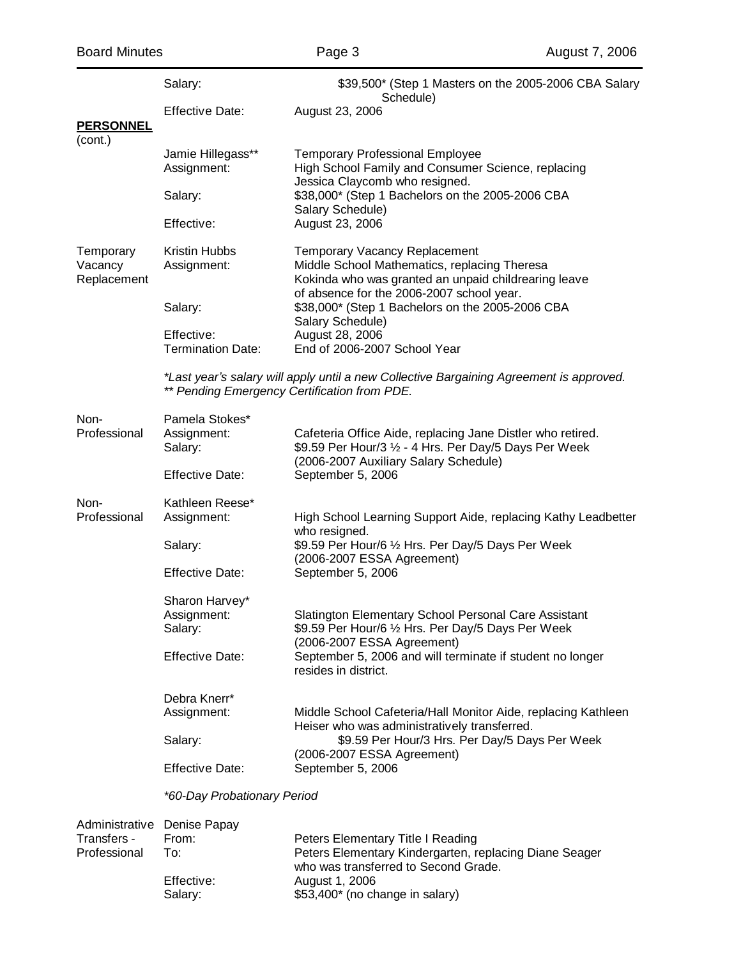|                                     | Salary:                                     | \$39,500* (Step 1 Masters on the 2005-2006 CBA Salary<br>Schedule)                                                                                                                        |  |  |  |  |
|-------------------------------------|---------------------------------------------|-------------------------------------------------------------------------------------------------------------------------------------------------------------------------------------------|--|--|--|--|
| <b>PERSONNEL</b>                    | <b>Effective Date:</b>                      | August 23, 2006                                                                                                                                                                           |  |  |  |  |
| (cont.)                             | Jamie Hillegass**<br>Assignment:            | <b>Temporary Professional Employee</b><br>High School Family and Consumer Science, replacing                                                                                              |  |  |  |  |
|                                     | Salary:                                     | Jessica Claycomb who resigned.<br>\$38,000* (Step 1 Bachelors on the 2005-2006 CBA                                                                                                        |  |  |  |  |
|                                     | Effective:                                  | Salary Schedule)<br>August 23, 2006                                                                                                                                                       |  |  |  |  |
| Temporary<br>Vacancy<br>Replacement | Kristin Hubbs<br>Assignment:                | <b>Temporary Vacancy Replacement</b><br>Middle School Mathematics, replacing Theresa<br>Kokinda who was granted an unpaid childrearing leave<br>of absence for the 2006-2007 school year. |  |  |  |  |
|                                     | Salary:                                     | \$38,000* (Step 1 Bachelors on the 2005-2006 CBA<br>Salary Schedule)                                                                                                                      |  |  |  |  |
|                                     | Effective:<br><b>Termination Date:</b>      | August 28, 2006<br>End of 2006-2007 School Year                                                                                                                                           |  |  |  |  |
|                                     |                                             | *Last year's salary will apply until a new Collective Bargaining Agreement is approved.<br>** Pending Emergency Certification from PDE.                                                   |  |  |  |  |
| Non-<br>Professional                | Pamela Stokes*<br>Assignment:<br>Salary:    | Cafeteria Office Aide, replacing Jane Distler who retired.<br>\$9.59 Per Hour/3 1/2 - 4 Hrs. Per Day/5 Days Per Week<br>(2006-2007 Auxiliary Salary Schedule)                             |  |  |  |  |
|                                     | <b>Effective Date:</b>                      | September 5, 2006                                                                                                                                                                         |  |  |  |  |
| Non-<br>Professional                | Kathleen Reese*<br>Assignment:              | High School Learning Support Aide, replacing Kathy Leadbetter                                                                                                                             |  |  |  |  |
|                                     | Salary:                                     | who resigned.<br>\$9.59 Per Hour/6 1/2 Hrs. Per Day/5 Days Per Week<br>(2006-2007 ESSA Agreement)                                                                                         |  |  |  |  |
|                                     | <b>Effective Date:</b>                      | September 5, 2006                                                                                                                                                                         |  |  |  |  |
|                                     | Sharon Harvey*<br>Assignment:<br>Salary:    | Slatington Elementary School Personal Care Assistant<br>\$9.59 Per Hour/6 1/2 Hrs. Per Day/5 Days Per Week                                                                                |  |  |  |  |
|                                     | <b>Effective Date:</b>                      | (2006-2007 ESSA Agreement)<br>September 5, 2006 and will terminate if student no longer<br>resides in district.                                                                           |  |  |  |  |
|                                     | Debra Knerr*                                |                                                                                                                                                                                           |  |  |  |  |
|                                     | Assignment:                                 | Middle School Cafeteria/Hall Monitor Aide, replacing Kathleen<br>Heiser who was administratively transferred.                                                                             |  |  |  |  |
|                                     | Salary:                                     | \$9.59 Per Hour/3 Hrs. Per Day/5 Days Per Week<br>(2006-2007 ESSA Agreement)                                                                                                              |  |  |  |  |
|                                     | <b>Effective Date:</b><br>September 5, 2006 |                                                                                                                                                                                           |  |  |  |  |
|                                     | *60-Day Probationary Period                 |                                                                                                                                                                                           |  |  |  |  |
| Administrative                      | Denise Papay                                |                                                                                                                                                                                           |  |  |  |  |
| Transfers -<br>Professional         | From:<br>To:                                | Peters Elementary Title I Reading<br>Peters Elementary Kindergarten, replacing Diane Seager<br>who was transferred to Second Grade.                                                       |  |  |  |  |
|                                     | Effective:                                  | August 1, 2006                                                                                                                                                                            |  |  |  |  |

Salary:  $$53,400^{\star}$  (no change in salary)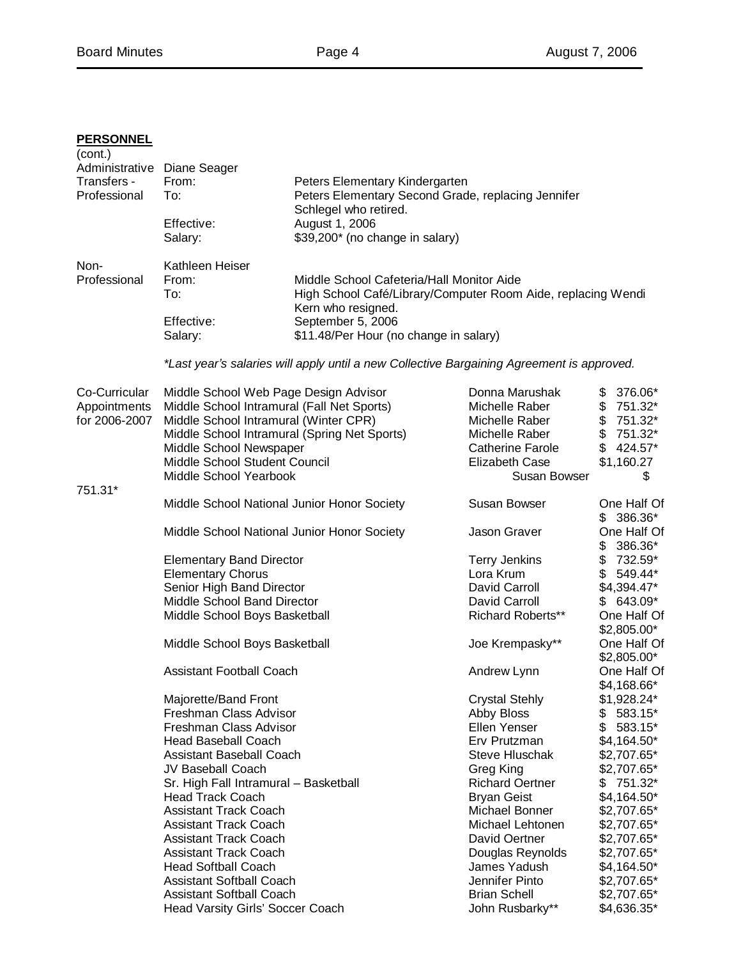# **PERSONNEL**

| (cont.)<br>Transfers -<br>Professional         | Administrative Diane Seager<br>From:<br>To:                                                                      | Peters Elementary Kindergarten<br>Peters Elementary Second Grade, replacing Jennifer<br>Schlegel who retired. |                                                              |                                        |
|------------------------------------------------|------------------------------------------------------------------------------------------------------------------|---------------------------------------------------------------------------------------------------------------|--------------------------------------------------------------|----------------------------------------|
|                                                | Effective:<br>Salary:                                                                                            | August 1, 2006<br>\$39,200* (no change in salary)                                                             |                                                              |                                        |
| Non-<br>Professional                           | Kathleen Heiser<br>From:<br>To:                                                                                  | Middle School Cafeteria/Hall Monitor Aide<br>Kern who resigned.                                               | High School Café/Library/Computer Room Aide, replacing Wendi |                                        |
|                                                | Effective:<br>Salary:                                                                                            | September 5, 2006<br>\$11.48/Per Hour (no change in salary)                                                   |                                                              |                                        |
|                                                |                                                                                                                  | *Last year's salaries will apply until a new Collective Bargaining Agreement is approved.                     |                                                              |                                        |
| Co-Curricular<br>Appointments<br>for 2006-2007 | Middle School Web Page Design Advisor<br>Middle School Intramural (Fall Net Sports)                              |                                                                                                               | Donna Marushak<br>Michelle Raber                             | $$376.06*$<br>$$751.32*$               |
|                                                | Middle School Intramural (Winter CPR)<br>Middle School Intramural (Spring Net Sports)<br>Middle School Newspaper |                                                                                                               | Michelle Raber<br>Michelle Raber<br>Catherine Farole         | $$751.32*$<br>$$751.32*$<br>$$424.57*$ |
|                                                | Middle School Student Council<br>Middle School Yearbook                                                          |                                                                                                               | Elizabeth Case<br>Susan Bowser                               | \$1,160.27<br>\$                       |
| 751.31*                                        | Middle School National Junior Honor Society                                                                      |                                                                                                               | Susan Bowser                                                 | One Half Of<br>$$386.36*$              |
|                                                | Middle School National Junior Honor Society                                                                      |                                                                                                               | Jason Graver                                                 | One Half Of<br>$$386.36*$              |
|                                                | <b>Elementary Band Director</b>                                                                                  |                                                                                                               | <b>Terry Jenkins</b>                                         | $$732.59*$                             |
|                                                | <b>Elementary Chorus</b>                                                                                         |                                                                                                               | Lora Krum                                                    | $\frac{1}{2}$<br>549.44*               |
|                                                | Senior High Band Director                                                                                        |                                                                                                               | David Carroll                                                | $$4,394.47*$                           |
|                                                | Middle School Band Director                                                                                      |                                                                                                               | David Carroll                                                | 643.09*<br>\$                          |
|                                                | Middle School Boys Basketball                                                                                    |                                                                                                               | Richard Roberts**                                            | One Half Of<br>$$2,805.00*$            |
|                                                | Middle School Boys Basketball                                                                                    |                                                                                                               | Joe Krempasky**                                              | One Half Of<br>$$2,805.00*$            |
|                                                | <b>Assistant Football Coach</b>                                                                                  |                                                                                                               | Andrew Lynn                                                  | One Half Of<br>\$4,168.66*             |
|                                                | Majorette/Band Front                                                                                             |                                                                                                               | <b>Crystal Stehly</b>                                        | \$1,928.24*                            |
|                                                | Freshman Class Advisor                                                                                           |                                                                                                               | Abby Bloss                                                   | \$<br>583.15*                          |
|                                                | Freshman Class Advisor                                                                                           |                                                                                                               | Ellen Yenser                                                 | \$<br>583.15*                          |
|                                                | Head Baseball Coach                                                                                              |                                                                                                               | Erv Prutzman                                                 | $$4,164.50*$                           |
|                                                | <b>Assistant Baseball Coach</b>                                                                                  |                                                                                                               | <b>Steve Hluschak</b>                                        | \$2,707.65*                            |
|                                                | JV Baseball Coach                                                                                                |                                                                                                               | Greg King                                                    | \$2,707.65*                            |
|                                                | Sr. High Fall Intramural - Basketball                                                                            |                                                                                                               | <b>Richard Oertner</b>                                       | \$<br>751.32*                          |
|                                                | <b>Head Track Coach</b>                                                                                          |                                                                                                               | <b>Bryan Geist</b>                                           | $$4,164.50*$                           |
|                                                | <b>Assistant Track Coach</b>                                                                                     |                                                                                                               | Michael Bonner                                               | \$2,707.65*                            |
|                                                | <b>Assistant Track Coach</b>                                                                                     |                                                                                                               | Michael Lehtonen                                             | \$2,707.65*                            |
|                                                | <b>Assistant Track Coach</b>                                                                                     |                                                                                                               | David Oertner                                                | \$2,707.65*                            |
|                                                | <b>Assistant Track Coach</b>                                                                                     |                                                                                                               | Douglas Reynolds                                             | \$2,707.65*                            |
|                                                | <b>Head Softball Coach</b>                                                                                       |                                                                                                               | James Yadush                                                 | $$4,164.50*$                           |
|                                                | <b>Assistant Softball Coach</b>                                                                                  |                                                                                                               | Jennifer Pinto                                               | \$2,707.65*                            |
|                                                | <b>Assistant Softball Coach</b>                                                                                  |                                                                                                               | <b>Brian Schell</b>                                          | \$2,707.65*                            |
|                                                | Head Varsity Girls' Soccer Coach                                                                                 |                                                                                                               | John Rusbarky**                                              | \$4,636.35*                            |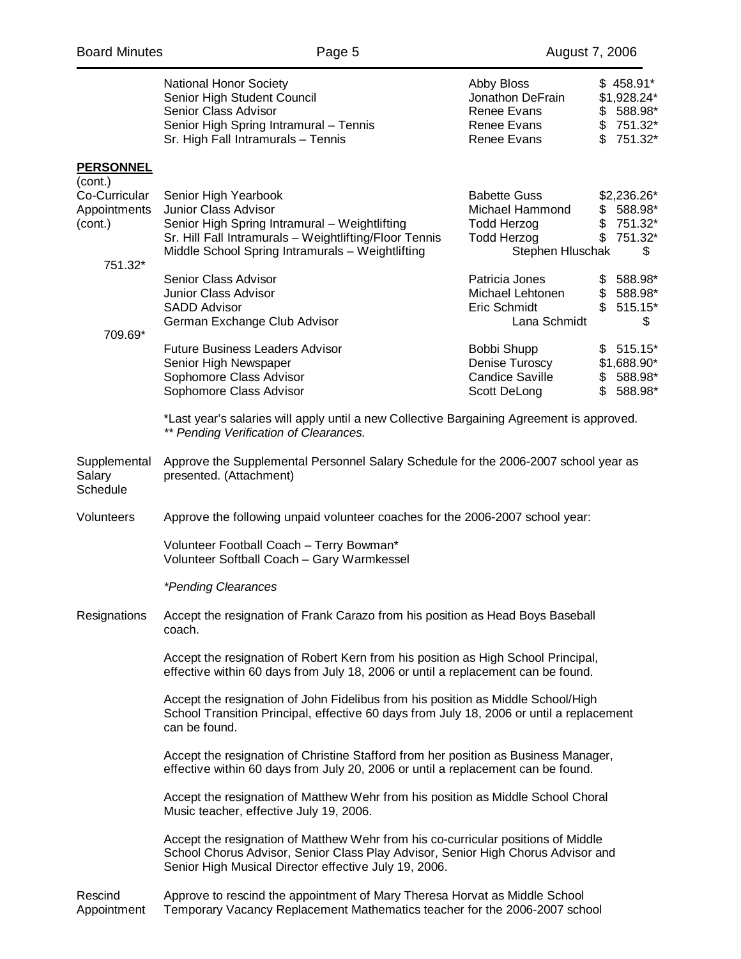|                                                                                    | <b>National Honor Society</b><br>Senior High Student Council<br>Senior Class Advisor<br>Senior High Spring Intramural - Tennis<br>Sr. High Fall Intramurals - Tennis                                                                                                                                                                                                                                                                                                                                                                                                                                                                                                                                                                                                         | Abby Bloss<br>Jonathon DeFrain<br>Renee Evans<br>Renee Evans<br>Renee Evans                                                                                           | $$458.91*$<br>\$1,928.24*<br>$$588.98$ *<br>$$751.32*$<br>$$751.32*$                                               |  |
|------------------------------------------------------------------------------------|------------------------------------------------------------------------------------------------------------------------------------------------------------------------------------------------------------------------------------------------------------------------------------------------------------------------------------------------------------------------------------------------------------------------------------------------------------------------------------------------------------------------------------------------------------------------------------------------------------------------------------------------------------------------------------------------------------------------------------------------------------------------------|-----------------------------------------------------------------------------------------------------------------------------------------------------------------------|--------------------------------------------------------------------------------------------------------------------|--|
| <b>PERSONNEL</b><br>(cont.)<br>Co-Curricular<br>Appointments<br>(cont.)<br>751.32* | Senior High Yearbook<br>Junior Class Advisor<br>Senior High Spring Intramural - Weightlifting<br>Sr. Hill Fall Intramurals - Weightlifting/Floor Tennis<br>Middle School Spring Intramurals - Weightlifting<br>Senior Class Advisor<br>Junior Class Advisor<br><b>SADD Advisor</b><br>German Exchange Club Advisor                                                                                                                                                                                                                                                                                                                                                                                                                                                           | <b>Babette Guss</b><br>Michael Hammond<br><b>Todd Herzog</b><br>Todd Herzog<br>Stephen Hluschak<br>Patricia Jones<br>Michael Lehtonen<br>Eric Schmidt<br>Lana Schmidt | \$2,236.26*<br>$$588.98$ *<br>$$751.32*$<br>$$751.32$ *<br>\$<br>$$588.98$ *<br>$$588.98$ *<br>515.15*<br>\$<br>\$ |  |
| 709.69*                                                                            | <b>Future Business Leaders Advisor</b><br>Senior High Newspaper<br>Sophomore Class Advisor<br>Sophomore Class Advisor<br>*Last year's salaries will apply until a new Collective Bargaining Agreement is approved.<br>** Pending Verification of Clearances.                                                                                                                                                                                                                                                                                                                                                                                                                                                                                                                 | Bobbi Shupp<br>Denise Turoscy<br><b>Candice Saville</b><br>Scott DeLong                                                                                               | \$515.15<br>\$1,688.90*<br>$$588.98$ *<br>$$588.98$ *                                                              |  |
| Supplemental<br>Salary<br>Schedule                                                 | Approve the Supplemental Personnel Salary Schedule for the 2006-2007 school year as<br>presented. (Attachment)                                                                                                                                                                                                                                                                                                                                                                                                                                                                                                                                                                                                                                                               |                                                                                                                                                                       |                                                                                                                    |  |
| Volunteers                                                                         | Approve the following unpaid volunteer coaches for the 2006-2007 school year:<br>Volunteer Football Coach - Terry Bowman*<br>Volunteer Softball Coach - Gary Warmkessel<br>*Pending Clearances                                                                                                                                                                                                                                                                                                                                                                                                                                                                                                                                                                               |                                                                                                                                                                       |                                                                                                                    |  |
| Resignations                                                                       | Accept the resignation of Frank Carazo from his position as Head Boys Baseball<br>coach.<br>Accept the resignation of Robert Kern from his position as High School Principal,<br>effective within 60 days from July 18, 2006 or until a replacement can be found.<br>Accept the resignation of John Fidelibus from his position as Middle School/High<br>School Transition Principal, effective 60 days from July 18, 2006 or until a replacement<br>can be found.<br>Accept the resignation of Christine Stafford from her position as Business Manager,<br>effective within 60 days from July 20, 2006 or until a replacement can be found.<br>Accept the resignation of Matthew Wehr from his position as Middle School Choral<br>Music teacher, effective July 19, 2006. |                                                                                                                                                                       |                                                                                                                    |  |
| Rescind                                                                            | Accept the resignation of Matthew Wehr from his co-curricular positions of Middle<br>School Chorus Advisor, Senior Class Play Advisor, Senior High Chorus Advisor and<br>Senior High Musical Director effective July 19, 2006.                                                                                                                                                                                                                                                                                                                                                                                                                                                                                                                                               |                                                                                                                                                                       |                                                                                                                    |  |
|                                                                                    | Approve to rescind the appointment of Mary Theresa Horvat as Middle School                                                                                                                                                                                                                                                                                                                                                                                                                                                                                                                                                                                                                                                                                                   |                                                                                                                                                                       |                                                                                                                    |  |

Appointment Temporary Vacancy Replacement Mathematics teacher for the 2006-2007 school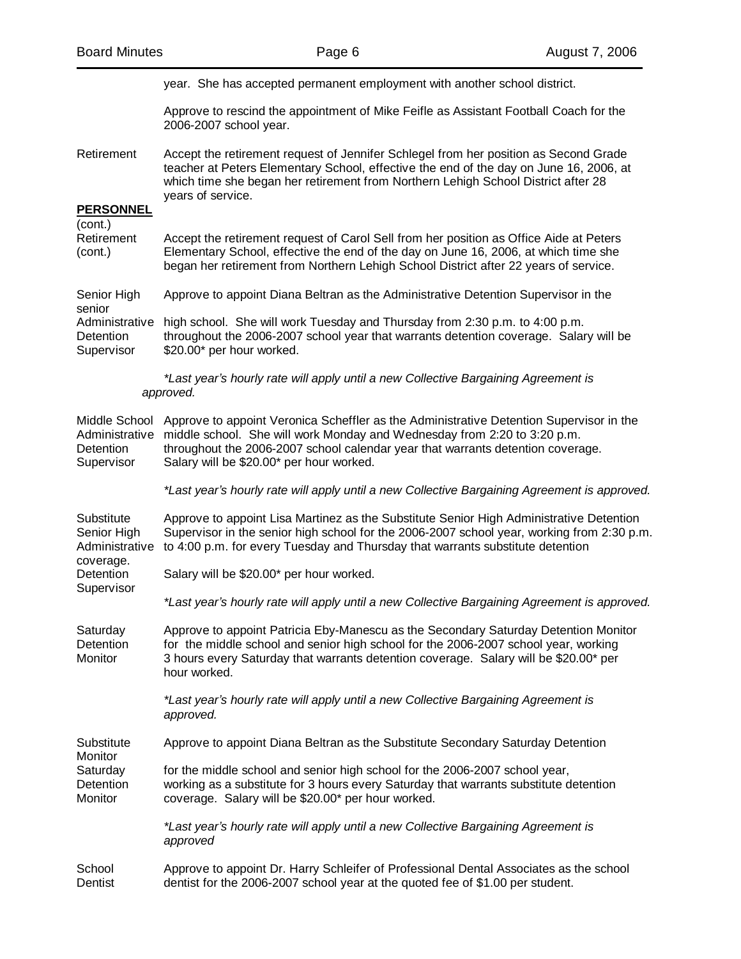|                                                            | year. She has accepted permanent employment with another school district.                                                                                                                                                                                                                          |
|------------------------------------------------------------|----------------------------------------------------------------------------------------------------------------------------------------------------------------------------------------------------------------------------------------------------------------------------------------------------|
|                                                            | Approve to rescind the appointment of Mike Feifle as Assistant Football Coach for the<br>2006-2007 school year.                                                                                                                                                                                    |
| Retirement                                                 | Accept the retirement request of Jennifer Schlegel from her position as Second Grade<br>teacher at Peters Elementary School, effective the end of the day on June 16, 2006, at<br>which time she began her retirement from Northern Lehigh School District after 28<br>years of service.           |
| <b>PERSONNEL</b>                                           |                                                                                                                                                                                                                                                                                                    |
| (cont.)<br>Retirement<br>(cont.)                           | Accept the retirement request of Carol Sell from her position as Office Aide at Peters<br>Elementary School, effective the end of the day on June 16, 2006, at which time she<br>began her retirement from Northern Lehigh School District after 22 years of service.                              |
| Senior High<br>senior                                      | Approve to appoint Diana Beltran as the Administrative Detention Supervisor in the                                                                                                                                                                                                                 |
| Detention<br>Supervisor                                    | Administrative high school. She will work Tuesday and Thursday from 2:30 p.m. to 4:00 p.m.<br>throughout the 2006-2007 school year that warrants detention coverage. Salary will be<br>\$20.00* per hour worked.                                                                                   |
|                                                            | *Last year's hourly rate will apply until a new Collective Bargaining Agreement is<br>approved.                                                                                                                                                                                                    |
| Middle School<br>Administrative<br>Detention<br>Supervisor | Approve to appoint Veronica Scheffler as the Administrative Detention Supervisor in the<br>middle school. She will work Monday and Wednesday from 2:20 to 3:20 p.m.<br>throughout the 2006-2007 school calendar year that warrants detention coverage.<br>Salary will be \$20.00* per hour worked. |
|                                                            | *Last year's hourly rate will apply until a new Collective Bargaining Agreement is approved.                                                                                                                                                                                                       |
| Substitute<br>Senior High<br>Administrative<br>coverage.   | Approve to appoint Lisa Martinez as the Substitute Senior High Administrative Detention<br>Supervisor in the senior high school for the 2006-2007 school year, working from 2:30 p.m.<br>to 4:00 p.m. for every Tuesday and Thursday that warrants substitute detention                            |
| Detention                                                  | Salary will be \$20.00* per hour worked.                                                                                                                                                                                                                                                           |
| Supervisor                                                 | *Last year's hourly rate will apply until a new Collective Bargaining Agreement is approved.                                                                                                                                                                                                       |
| Saturday<br>Detention<br>Monitor                           | Approve to appoint Patricia Eby-Manescu as the Secondary Saturday Detention Monitor<br>for the middle school and senior high school for the 2006-2007 school year, working<br>3 hours every Saturday that warrants detention coverage. Salary will be \$20.00* per<br>hour worked.                 |
|                                                            | *Last year's hourly rate will apply until a new Collective Bargaining Agreement is<br>approved.                                                                                                                                                                                                    |
| Substitute<br>Monitor                                      | Approve to appoint Diana Beltran as the Substitute Secondary Saturday Detention                                                                                                                                                                                                                    |
| Saturday<br>Detention<br>Monitor                           | for the middle school and senior high school for the 2006-2007 school year,<br>working as a substitute for 3 hours every Saturday that warrants substitute detention<br>coverage. Salary will be \$20.00* per hour worked.                                                                         |
|                                                            | *Last year's hourly rate will apply until a new Collective Bargaining Agreement is<br>approved                                                                                                                                                                                                     |
| School<br>Dentist                                          | Approve to appoint Dr. Harry Schleifer of Professional Dental Associates as the school<br>dentist for the 2006-2007 school year at the quoted fee of \$1.00 per student.                                                                                                                           |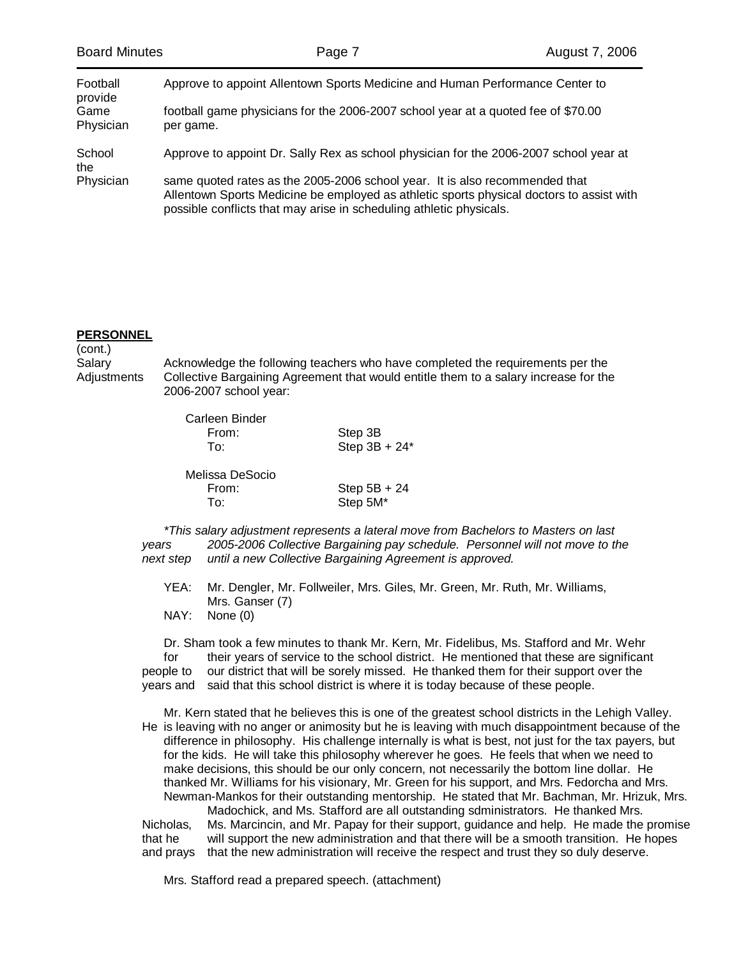| <b>Board Minutes</b> | Page 7                                                                                                                                                                                                                                         | August 7, 2006 |
|----------------------|------------------------------------------------------------------------------------------------------------------------------------------------------------------------------------------------------------------------------------------------|----------------|
| Football<br>provide  | Approve to appoint Allentown Sports Medicine and Human Performance Center to                                                                                                                                                                   |                |
| Game<br>Physician    | football game physicians for the 2006-2007 school year at a quoted fee of \$70.00<br>per game.                                                                                                                                                 |                |
| School<br>the        | Approve to appoint Dr. Sally Rex as school physician for the 2006-2007 school year at                                                                                                                                                          |                |
| Physician            | same quoted rates as the 2005-2006 school year. It is also recommended that<br>Allentown Sports Medicine be employed as athletic sports physical doctors to assist with<br>possible conflicts that may arise in scheduling athletic physicals. |                |

### **PERSONNEL**

(cont.) Salary **Acknowledge the following teachers who have completed the requirements per the** Adjustments Collective Bargaining Agreement that would entitle them to a salary increase for the 2006-2007 school year:

| Carleen Binder<br>From:<br>To: | Step 3B<br>Step $3B + 24$ <sup>*</sup> |  |
|--------------------------------|----------------------------------------|--|
| Melissa DeSocio<br>From:       |                                        |  |
|                                | Step $5B + 24$                         |  |
| To:                            | Step 5M*                               |  |

*\*This salary adjustment represents a lateral move from Bachelors to Masters on last years 2005-2006 Collective Bargaining pay schedule. Personnel will not move to the next step until a new Collective Bargaining Agreement is approved.*

 YEA: Mr. Dengler, Mr. Follweiler, Mrs. Giles, Mr. Green, Mr. Ruth, Mr. Williams, Mrs. Ganser (7)

NAY: None (0)

 Dr. Sham took a few minutes to thank Mr. Kern, Mr. Fidelibus, Ms. Stafford and Mr. Wehr for their years of service to the school district. He mentioned that these are significant people to our district that will be sorely missed. He thanked them for their support over the years and said that this school district is where it is today because of these people.

 Mr. Kern stated that he believes this is one of the greatest school districts in the Lehigh Valley. He is leaving with no anger or animosity but he is leaving with much disappointment because of the difference in philosophy. His challenge internally is what is best, not just for the tax payers, but for the kids. He will take this philosophy wherever he goes. He feels that when we need to make decisions, this should be our only concern, not necessarily the bottom line dollar. He thanked Mr. Williams for his visionary, Mr. Green for his support, and Mrs. Fedorcha and Mrs. Newman-Mankos for their outstanding mentorship. He stated that Mr. Bachman, Mr. Hrizuk, Mrs.

 Madochick, and Ms. Stafford are all outstanding sdministrators. He thanked Mrs. Nicholas, Ms. Marcincin, and Mr. Papay for their support, guidance and help. He made the promise that he will support the new administration and that there will be a smooth transition. He hopes and prays that the new administration will receive the respect and trust they so duly deserve.

Mrs. Stafford read a prepared speech. (attachment)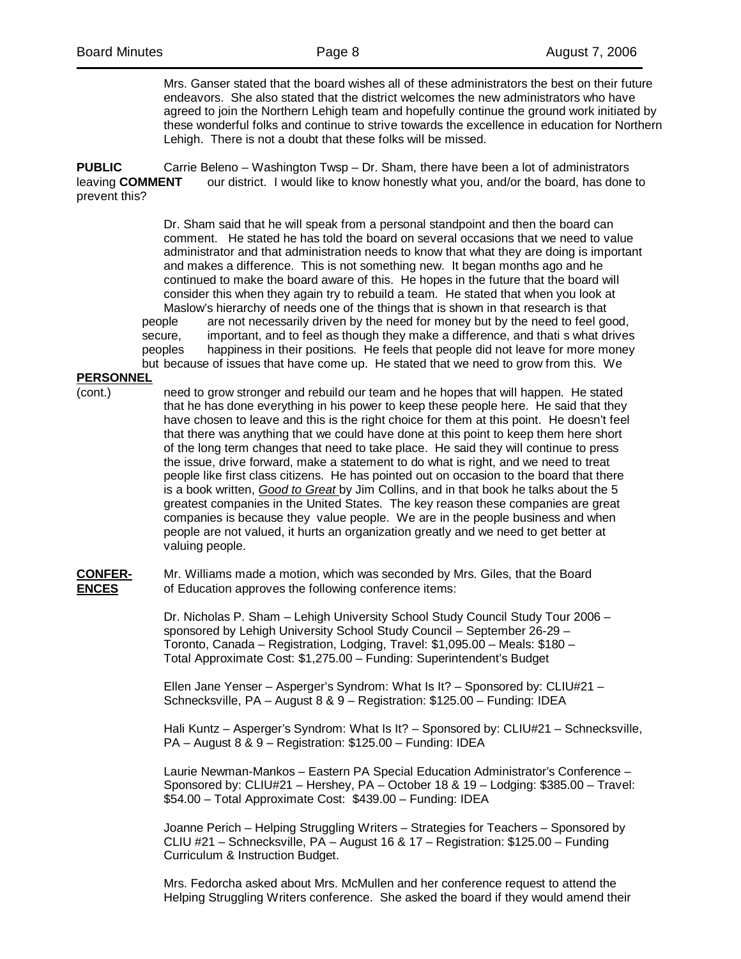Mrs. Ganser stated that the board wishes all of these administrators the best on their future endeavors. She also stated that the district welcomes the new administrators who have agreed to join the Northern Lehigh team and hopefully continue the ground work initiated by these wonderful folks and continue to strive towards the excellence in education for Northern Lehigh. There is not a doubt that these folks will be missed.

**PUBLIC** Carrie Beleno – Washington Twsp – Dr. Sham, there have been a lot of administrators leaving **COMMENT** our district. I would like to know honestly what you, and/or the board, has done to prevent this?

> Dr. Sham said that he will speak from a personal standpoint and then the board can comment. He stated he has told the board on several occasions that we need to value administrator and that administration needs to know that what they are doing is important and makes a difference. This is not something new. It began months ago and he continued to make the board aware of this. He hopes in the future that the board will consider this when they again try to rebuild a team. He stated that when you look at Maslow's hierarchy of needs one of the things that is shown in that research is that people are not necessarily driven by the need for money but by the need to feel good, secure, important, and to feel as though they make a difference, and thati s what drives peoples happiness in their positions. He feels that people did not leave for more money but because of issues that have come up. He stated that we need to grow from this. We

**PERSONNEL**

(cont.) need to grow stronger and rebuild our team and he hopes that will happen. He stated that he has done everything in his power to keep these people here. He said that they have chosen to leave and this is the right choice for them at this point. He doesn't feel that there was anything that we could have done at this point to keep them here short of the long term changes that need to take place. He said they will continue to press the issue, drive forward, make a statement to do what is right, and we need to treat people like first class citizens. He has pointed out on occasion to the board that there is a book written, *Good to Great* by Jim Collins, and in that book he talks about the 5 greatest companies in the United States. The key reason these companies are great companies is because they value people. We are in the people business and when people are not valued, it hurts an organization greatly and we need to get better at valuing people.

**CONFER-** Mr. Williams made a motion, which was seconded by Mrs. Giles, that the Board **ENCES** of Education approves the following conference items:

> Dr. Nicholas P. Sham – Lehigh University School Study Council Study Tour 2006 – sponsored by Lehigh University School Study Council – September 26-29 – Toronto, Canada – Registration, Lodging, Travel: \$1,095.00 – Meals: \$180 – Total Approximate Cost: \$1,275.00 – Funding: Superintendent's Budget

 Ellen Jane Yenser – Asperger's Syndrom: What Is It? – Sponsored by: CLIU#21 – Schnecksville, PA – August 8 & 9 – Registration: \$125.00 – Funding: IDEA

 Hali Kuntz – Asperger's Syndrom: What Is It? – Sponsored by: CLIU#21 – Schnecksville, PA – August 8 & 9 – Registration: \$125.00 – Funding: IDEA

 Laurie Newman-Mankos – Eastern PA Special Education Administrator's Conference – Sponsored by: CLIU#21 – Hershey, PA – October 18 & 19 – Lodging: \$385.00 – Travel: \$54.00 – Total Approximate Cost: \$439.00 – Funding: IDEA

 Joanne Perich – Helping Struggling Writers – Strategies for Teachers – Sponsored by CLIU #21 – Schnecksville, PA – August 16 & 17 – Registration: \$125.00 – Funding Curriculum & Instruction Budget.

 Mrs. Fedorcha asked about Mrs. McMullen and her conference request to attend the Helping Struggling Writers conference. She asked the board if they would amend their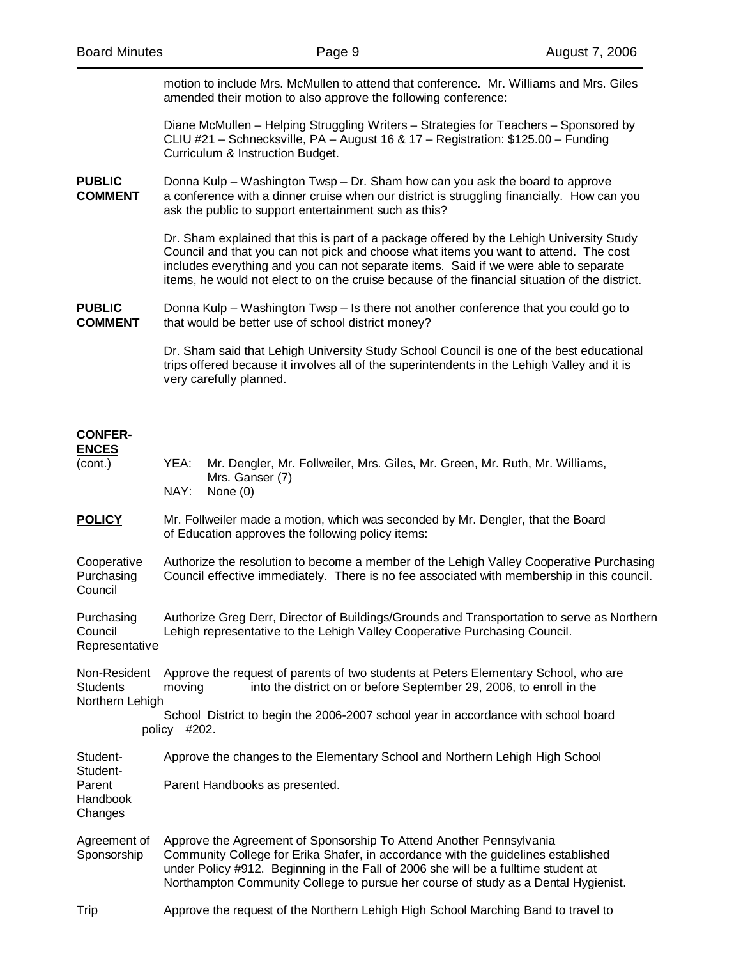motion to include Mrs. McMullen to attend that conference. Mr. Williams and Mrs. Giles amended their motion to also approve the following conference:

 Diane McMullen – Helping Struggling Writers – Strategies for Teachers – Sponsored by CLIU #21 – Schnecksville, PA – August 16 & 17 – Registration: \$125.00 – Funding Curriculum & Instruction Budget.

**PUBLIC** Donna Kulp – Washington Twsp – Dr. Sham how can you ask the board to approve **COMMENT** a conference with a dinner cruise when our district is struggling financially. How can you ask the public to support entertainment such as this?

> Dr. Sham explained that this is part of a package offered by the Lehigh University Study Council and that you can not pick and choose what items you want to attend. The cost includes everything and you can not separate items. Said if we were able to separate items, he would not elect to on the cruise because of the financial situation of the district.

**PUBLIC** Donna Kulp – Washington Twsp – Is there not another conference that you could go to **COMMENT** that would be better use of school district money?

> Dr. Sham said that Lehigh University Study School Council is one of the best educational trips offered because it involves all of the superintendents in the Lehigh Valley and it is very carefully planned.

#### **CONFER-ENCES**

| (cont.)                                            | YEA:<br>NAY:                                                                                                                                                                          | Mr. Dengler, Mr. Follweiler, Mrs. Giles, Mr. Green, Mr. Ruth, Mr. Williams,<br>Mrs. Ganser (7)<br>None $(0)$                                                                                                                                                                                                                         |  |  |
|----------------------------------------------------|---------------------------------------------------------------------------------------------------------------------------------------------------------------------------------------|--------------------------------------------------------------------------------------------------------------------------------------------------------------------------------------------------------------------------------------------------------------------------------------------------------------------------------------|--|--|
| <b>POLICY</b>                                      | Mr. Follweiler made a motion, which was seconded by Mr. Dengler, that the Board<br>of Education approves the following policy items:                                                  |                                                                                                                                                                                                                                                                                                                                      |  |  |
| Cooperative<br>Purchasing<br>Council               | Authorize the resolution to become a member of the Lehigh Valley Cooperative Purchasing<br>Council effective immediately. There is no fee associated with membership in this council. |                                                                                                                                                                                                                                                                                                                                      |  |  |
| Purchasing<br>Council<br>Representative            | Authorize Greg Derr, Director of Buildings/Grounds and Transportation to serve as Northern<br>Lehigh representative to the Lehigh Valley Cooperative Purchasing Council.              |                                                                                                                                                                                                                                                                                                                                      |  |  |
| Non-Resident<br><b>Students</b><br>Northern Lehigh | moving<br>policy #202.                                                                                                                                                                | Approve the request of parents of two students at Peters Elementary School, who are<br>into the district on or before September 29, 2006, to enroll in the<br>School District to begin the 2006-2007 school year in accordance with school board                                                                                     |  |  |
| Student-<br>Student-                               |                                                                                                                                                                                       | Approve the changes to the Elementary School and Northern Lehigh High School                                                                                                                                                                                                                                                         |  |  |
| Parent<br>Handbook<br>Changes                      | Parent Handbooks as presented.                                                                                                                                                        |                                                                                                                                                                                                                                                                                                                                      |  |  |
| Agreement of<br>Sponsorship                        |                                                                                                                                                                                       | Approve the Agreement of Sponsorship To Attend Another Pennsylvania<br>Community College for Erika Shafer, in accordance with the guidelines established<br>under Policy #912. Beginning in the Fall of 2006 she will be a fulltime student at<br>Northampton Community College to pursue her course of study as a Dental Hygienist. |  |  |
| Trip                                               | Approve the request of the Northern Lehigh High School Marching Band to travel to                                                                                                     |                                                                                                                                                                                                                                                                                                                                      |  |  |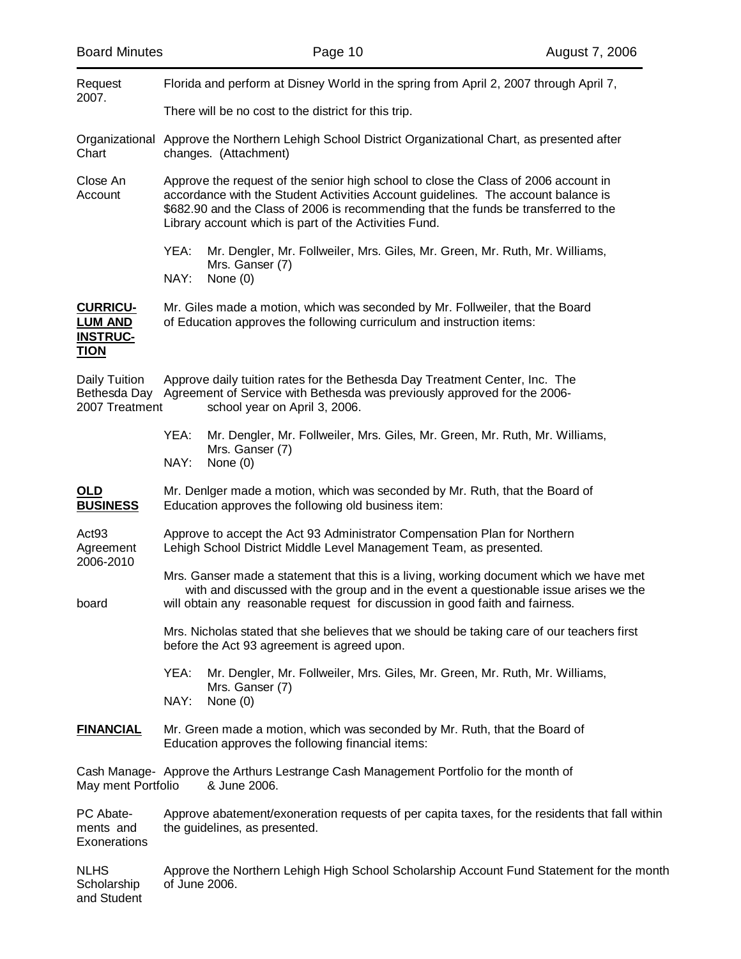and Student

| Request                                                             | Florida and perform at Disney World in the spring from April 2, 2007 through April 7,                                                                                                                                                                                                                                    |  |  |  |
|---------------------------------------------------------------------|--------------------------------------------------------------------------------------------------------------------------------------------------------------------------------------------------------------------------------------------------------------------------------------------------------------------------|--|--|--|
| 2007.                                                               | There will be no cost to the district for this trip.                                                                                                                                                                                                                                                                     |  |  |  |
| Chart                                                               | Organizational Approve the Northern Lehigh School District Organizational Chart, as presented after<br>changes. (Attachment)                                                                                                                                                                                             |  |  |  |
| Close An<br>Account                                                 | Approve the request of the senior high school to close the Class of 2006 account in<br>accordance with the Student Activities Account guidelines. The account balance is<br>\$682.90 and the Class of 2006 is recommending that the funds be transferred to the<br>Library account which is part of the Activities Fund. |  |  |  |
|                                                                     | YEA:<br>Mr. Dengler, Mr. Follweiler, Mrs. Giles, Mr. Green, Mr. Ruth, Mr. Williams,<br>Mrs. Ganser (7)<br>NAY:<br>None $(0)$                                                                                                                                                                                             |  |  |  |
| <b>CURRICU-</b><br><b>LUM AND</b><br><b>INSTRUC-</b><br><u>TION</u> | Mr. Giles made a motion, which was seconded by Mr. Follweiler, that the Board<br>of Education approves the following curriculum and instruction items:                                                                                                                                                                   |  |  |  |
| Daily Tuition<br>2007 Treatment                                     | Approve daily tuition rates for the Bethesda Day Treatment Center, Inc. The<br>Bethesda Day Agreement of Service with Bethesda was previously approved for the 2006-<br>school year on April 3, 2006.                                                                                                                    |  |  |  |
|                                                                     | YEA:<br>Mr. Dengler, Mr. Follweiler, Mrs. Giles, Mr. Green, Mr. Ruth, Mr. Williams,<br>Mrs. Ganser (7)<br>NAY:<br>None $(0)$                                                                                                                                                                                             |  |  |  |
| <u>OLD</u><br><b>BUSINESS</b>                                       | Mr. Deniger made a motion, which was seconded by Mr. Ruth, that the Board of<br>Education approves the following old business item:                                                                                                                                                                                      |  |  |  |
| Act <sub>93</sub><br>Agreement<br>2006-2010                         | Approve to accept the Act 93 Administrator Compensation Plan for Northern<br>Lehigh School District Middle Level Management Team, as presented.                                                                                                                                                                          |  |  |  |
| board                                                               | Mrs. Ganser made a statement that this is a living, working document which we have met<br>with and discussed with the group and in the event a questionable issue arises we the<br>will obtain any reasonable request for discussion in good faith and fairness.                                                         |  |  |  |
|                                                                     | Mrs. Nicholas stated that she believes that we should be taking care of our teachers first<br>before the Act 93 agreement is agreed upon.                                                                                                                                                                                |  |  |  |
|                                                                     | YEA:<br>Mr. Dengler, Mr. Follweiler, Mrs. Giles, Mr. Green, Mr. Ruth, Mr. Williams,<br>Mrs. Ganser (7)<br>None (0)<br>NAY:                                                                                                                                                                                               |  |  |  |
| <b>FINANCIAL</b>                                                    | Mr. Green made a motion, which was seconded by Mr. Ruth, that the Board of<br>Education approves the following financial items:                                                                                                                                                                                          |  |  |  |
| May ment Portfolio                                                  | Cash Manage- Approve the Arthurs Lestrange Cash Management Portfolio for the month of<br>& June 2006.                                                                                                                                                                                                                    |  |  |  |
| PC Abate-<br>ments and<br>Exonerations                              | Approve abatement/exoneration requests of per capita taxes, for the residents that fall within<br>the guidelines, as presented.                                                                                                                                                                                          |  |  |  |
| <b>NLHS</b><br>Scholarship                                          | Approve the Northern Lehigh High School Scholarship Account Fund Statement for the month<br>of June 2006.                                                                                                                                                                                                                |  |  |  |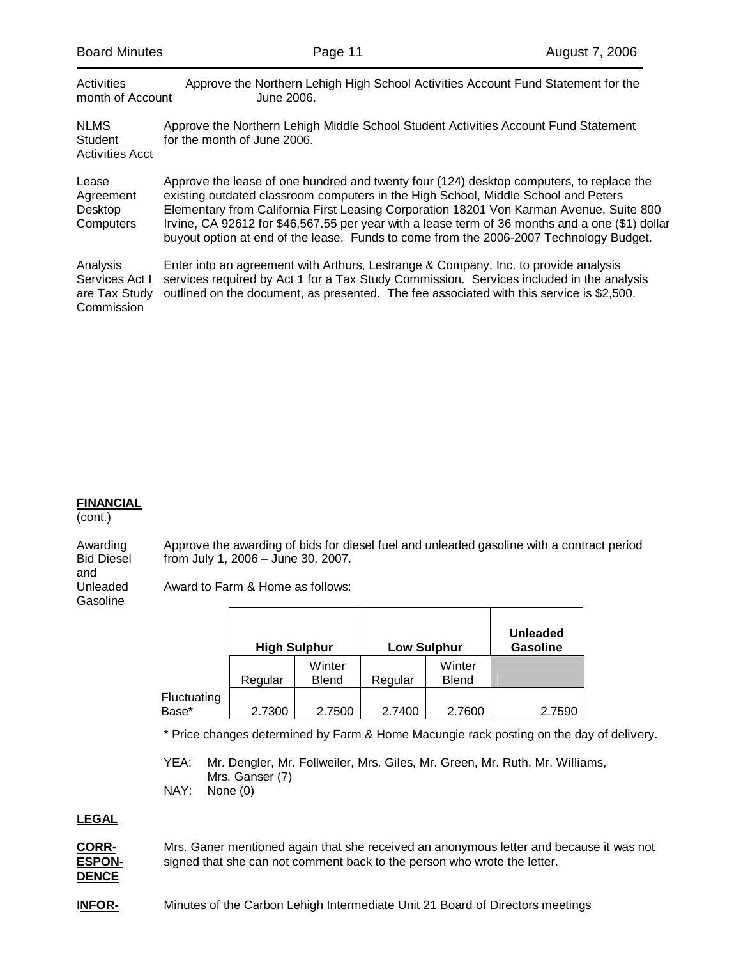| <b>Board Minutes</b>                                      | Page 11                                                                                                                                                                                                                                                                                                                                                                                                                                                                | August 7, 2006 |
|-----------------------------------------------------------|------------------------------------------------------------------------------------------------------------------------------------------------------------------------------------------------------------------------------------------------------------------------------------------------------------------------------------------------------------------------------------------------------------------------------------------------------------------------|----------------|
| Activities<br>month of Account                            | Approve the Northern Lehigh High School Activities Account Fund Statement for the<br>June 2006.                                                                                                                                                                                                                                                                                                                                                                        |                |
| <b>NLMS</b><br><b>Student</b><br><b>Activities Acct</b>   | Approve the Northern Lehigh Middle School Student Activities Account Fund Statement<br>for the month of June 2006.                                                                                                                                                                                                                                                                                                                                                     |                |
| Lease<br>Agreement<br>Desktop<br>Computers                | Approve the lease of one hundred and twenty four (124) desktop computers, to replace the<br>existing outdated classroom computers in the High School, Middle School and Peters<br>Elementary from California First Leasing Corporation 18201 Von Karman Avenue, Suite 800<br>Irvine, CA 92612 for \$46,567.55 per year with a lease term of 36 months and a one (\$1) dollar<br>buyout option at end of the lease. Funds to come from the 2006-2007 Technology Budget. |                |
| Analysis<br>Services Act I<br>are Tax Study<br>Commission | Enter into an agreement with Arthurs, Lestrange & Company, Inc. to provide analysis<br>services required by Act 1 for a Tax Study Commission. Services included in the analysis<br>outlined on the document, as presented. The fee associated with this service is \$2,500.                                                                                                                                                                                            |                |

### **FINANCIAL**

(cont.)

Awarding Approve the awarding of bids for diesel fuel and unleaded gasoline with a contract period<br>Bid Diesel from July 1, 2006 – June 30, 2007. from July 1, 2006 – June 30, 2007.

and<br>Unleaded **Gasoline** 

Award to Farm & Home as follows:

|                      | <b>High Sulphur</b> |                        | <b>Low Sulphur</b> |                        | <b>Unleaded</b><br><b>Gasoline</b> |
|----------------------|---------------------|------------------------|--------------------|------------------------|------------------------------------|
|                      | Regular             | Winter<br><b>Blend</b> | Regular            | Winter<br><b>Blend</b> |                                    |
| Fluctuating<br>Base* | 2.7300              | 2.7500                 | 2.7400             | 2.7600                 | 2.7590                             |

\* Price changes determined by Farm & Home Macungie rack posting on the day of delivery.

 YEA: Mr. Dengler, Mr. Follweiler, Mrs. Giles, Mr. Green, Mr. Ruth, Mr. Williams, Mrs. Ganser (7) NAY: None (0)

# **LEGAL**

**CORR-** Mrs. Ganer mentioned again that she received an anonymous letter and because it was not **ESPON-** signed that she can not comment back to the person who wrote the letter. **DENCE**

**INFOR-** Minutes of the Carbon Lehigh Intermediate Unit 21 Board of Directors meetings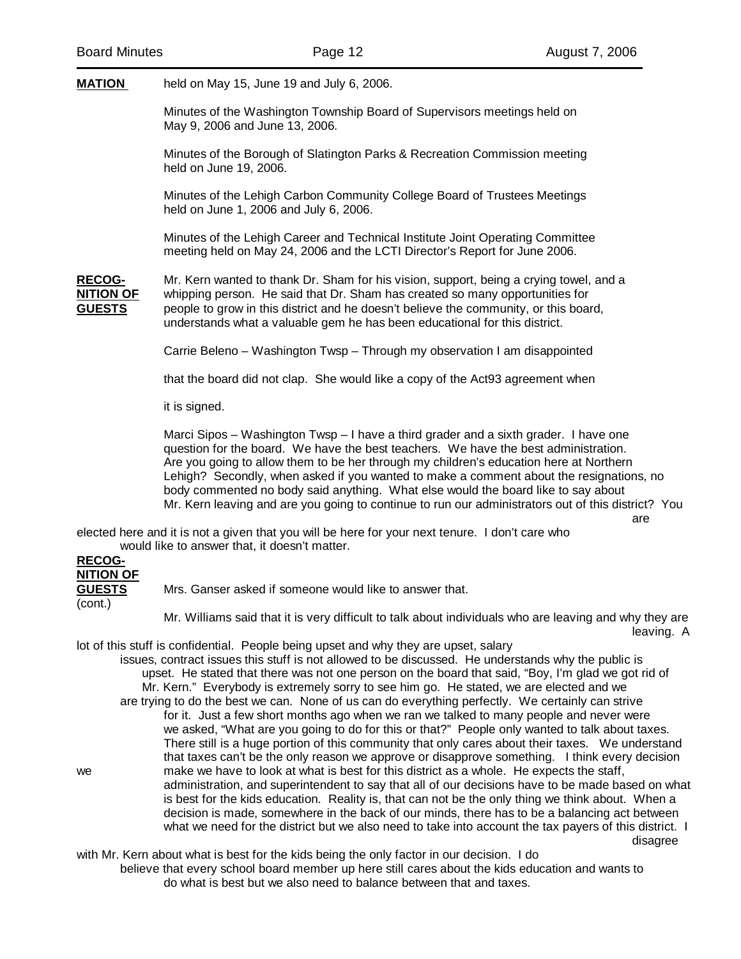are

**MATION** held on May 15, June 19 and July 6, 2006.

 Minutes of the Washington Township Board of Supervisors meetings held on May 9, 2006 and June 13, 2006.

 Minutes of the Borough of Slatington Parks & Recreation Commission meeting held on June 19, 2006.

 Minutes of the Lehigh Carbon Community College Board of Trustees Meetings held on June 1, 2006 and July 6, 2006.

 Minutes of the Lehigh Career and Technical Institute Joint Operating Committee meeting held on May 24, 2006 and the LCTI Director's Report for June 2006.

**RECOG-** Mr. Kern wanted to thank Dr. Sham for his vision, support, being a crying towel, and a **NITION OF** whipping person. He said that Dr. Sham has created so many opportunities for **GUESTS** people to grow in this district and he doesn't believe the community, or this board, understands what a valuable gem he has been educational for this district.

Carrie Beleno – Washington Twsp – Through my observation I am disappointed

that the board did not clap. She would like a copy of the Act93 agreement when

it is signed.

 Marci Sipos – Washington Twsp – I have a third grader and a sixth grader. I have one question for the board. We have the best teachers. We have the best administration. Are you going to allow them to be her through my children's education here at Northern Lehigh? Secondly, when asked if you wanted to make a comment about the resignations, no body commented no body said anything. What else would the board like to say about Mr. Kern leaving and are you going to continue to run our administrators out of this district? You

elected here and it is not a given that you will be here for your next tenure. I don't care who would like to answer that, it doesn't matter.

# **RECOG-NITION OF**

**GUESTS** Mrs. Ganser asked if someone would like to answer that. (cont.)

 Mr. Williams said that it is very difficult to talk about individuals who are leaving and why they are leaving. A

lot of this stuff is confidential. People being upset and why they are upset, salary

 issues, contract issues this stuff is not allowed to be discussed. He understands why the public is upset. He stated that there was not one person on the board that said, "Boy, I'm glad we got rid of Mr. Kern." Everybody is extremely sorry to see him go. He stated, we are elected and we are trying to do the best we can. None of us can do everything perfectly. We certainly can strive for it. Just a few short months ago when we ran we talked to many people and never were we asked, "What are you going to do for this or that?" People only wanted to talk about taxes. There still is a huge portion of this community that only cares about their taxes. We understand that taxes can't be the only reason we approve or disapprove something. I think every decision we make we have to look at what is best for this district as a whole. He expects the staff, administration, and superintendent to say that all of our decisions have to be made based on what is best for the kids education. Reality is, that can not be the only thing we think about. When a decision is made, somewhere in the back of our minds, there has to be a balancing act between what we need for the district but we also need to take into account the tax payers of this district. I disagree

with Mr. Kern about what is best for the kids being the only factor in our decision. I do believe that every school board member up here still cares about the kids education and wants to do what is best but we also need to balance between that and taxes.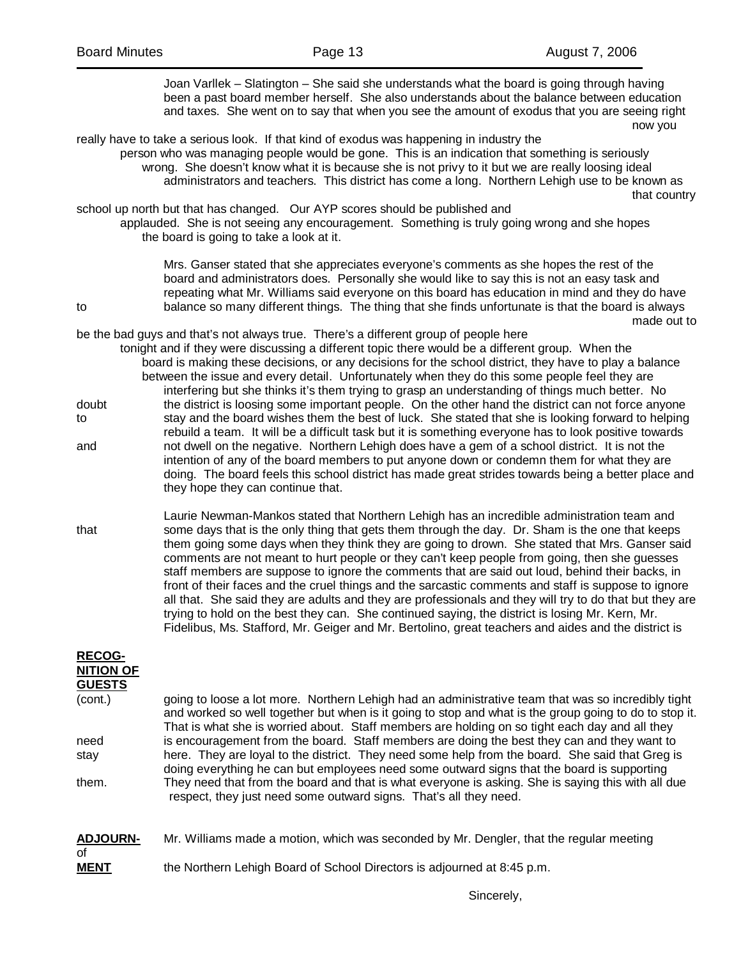|                                                                                                                                                                                                                          | Joan Varllek – Slatington – She said she understands what the board is going through having<br>been a past board member herself. She also understands about the balance between education<br>and taxes. She went on to say that when you see the amount of exodus that you are seeing right<br>now you                                                                                                                                                                                                                                                                                                                                                                                                                                                                                                                                                                                                                         |
|--------------------------------------------------------------------------------------------------------------------------------------------------------------------------------------------------------------------------|--------------------------------------------------------------------------------------------------------------------------------------------------------------------------------------------------------------------------------------------------------------------------------------------------------------------------------------------------------------------------------------------------------------------------------------------------------------------------------------------------------------------------------------------------------------------------------------------------------------------------------------------------------------------------------------------------------------------------------------------------------------------------------------------------------------------------------------------------------------------------------------------------------------------------------|
|                                                                                                                                                                                                                          | really have to take a serious look. If that kind of exodus was happening in industry the<br>person who was managing people would be gone. This is an indication that something is seriously<br>wrong. She doesn't know what it is because she is not privy to it but we are really loosing ideal<br>administrators and teachers. This district has come a long. Northern Lehigh use to be known as<br>that country                                                                                                                                                                                                                                                                                                                                                                                                                                                                                                             |
| school up north but that has changed. Our AYP scores should be published and<br>applauded. She is not seeing any encouragement. Something is truly going wrong and she hopes<br>the board is going to take a look at it. |                                                                                                                                                                                                                                                                                                                                                                                                                                                                                                                                                                                                                                                                                                                                                                                                                                                                                                                                |
| to                                                                                                                                                                                                                       | Mrs. Ganser stated that she appreciates everyone's comments as she hopes the rest of the<br>board and administrators does. Personally she would like to say this is not an easy task and<br>repeating what Mr. Williams said everyone on this board has education in mind and they do have<br>balance so many different things. The thing that she finds unfortunate is that the board is always<br>made out to                                                                                                                                                                                                                                                                                                                                                                                                                                                                                                                |
|                                                                                                                                                                                                                          | be the bad guys and that's not always true. There's a different group of people here<br>tonight and if they were discussing a different topic there would be a different group. When the<br>board is making these decisions, or any decisions for the school district, they have to play a balance<br>between the issue and every detail. Unfortunately when they do this some people feel they are<br>interfering but she thinks it's them trying to grasp an understanding of things much better. No                                                                                                                                                                                                                                                                                                                                                                                                                         |
| doubt<br>to                                                                                                                                                                                                              | the district is loosing some important people. On the other hand the district can not force anyone<br>stay and the board wishes them the best of luck. She stated that she is looking forward to helping<br>rebuild a team. It will be a difficult task but it is something everyone has to look positive towards                                                                                                                                                                                                                                                                                                                                                                                                                                                                                                                                                                                                              |
| and                                                                                                                                                                                                                      | not dwell on the negative. Northern Lehigh does have a gem of a school district. It is not the<br>intention of any of the board members to put anyone down or condemn them for what they are<br>doing. The board feels this school district has made great strides towards being a better place and<br>they hope they can continue that.                                                                                                                                                                                                                                                                                                                                                                                                                                                                                                                                                                                       |
| that                                                                                                                                                                                                                     | Laurie Newman-Mankos stated that Northern Lehigh has an incredible administration team and<br>some days that is the only thing that gets them through the day. Dr. Sham is the one that keeps<br>them going some days when they think they are going to drown. She stated that Mrs. Ganser said<br>comments are not meant to hurt people or they can't keep people from going, then she guesses<br>staff members are suppose to ignore the comments that are said out loud, behind their backs, in<br>front of their faces and the cruel things and the sarcastic comments and staff is suppose to ignore<br>all that. She said they are adults and they are professionals and they will try to do that but they are<br>trying to hold on the best they can. She continued saying, the district is losing Mr. Kern, Mr.<br>Fidelibus, Ms. Stafford, Mr. Geiger and Mr. Bertolino, great teachers and aides and the district is |
| <b>RECOG-</b><br><b>NITION OF</b>                                                                                                                                                                                        |                                                                                                                                                                                                                                                                                                                                                                                                                                                                                                                                                                                                                                                                                                                                                                                                                                                                                                                                |
| <b>GUESTS</b><br>(cont.)                                                                                                                                                                                                 | going to loose a lot more. Northern Lehigh had an administrative team that was so incredibly tight<br>and worked so well together but when is it going to stop and what is the group going to do to stop it.<br>That is what she is worried about. Staff members are holding on so tight each day and all they                                                                                                                                                                                                                                                                                                                                                                                                                                                                                                                                                                                                                 |
| need<br>stay<br>them.                                                                                                                                                                                                    | is encouragement from the board. Staff members are doing the best they can and they want to<br>here. They are loyal to the district. They need some help from the board. She said that Greg is<br>doing everything he can but employees need some outward signs that the board is supporting<br>They need that from the board and that is what everyone is asking. She is saying this with all due<br>respect, they just need some outward signs. That's all they need.                                                                                                                                                                                                                                                                                                                                                                                                                                                        |
| <b>ADJOURN-</b>                                                                                                                                                                                                          | Mr. Williams made a motion, which was seconded by Mr. Dengler, that the regular meeting                                                                                                                                                                                                                                                                                                                                                                                                                                                                                                                                                                                                                                                                                                                                                                                                                                        |

of<br><u>MENT</u> the Northern Lehigh Board of School Directors is adjourned at 8:45 p.m.